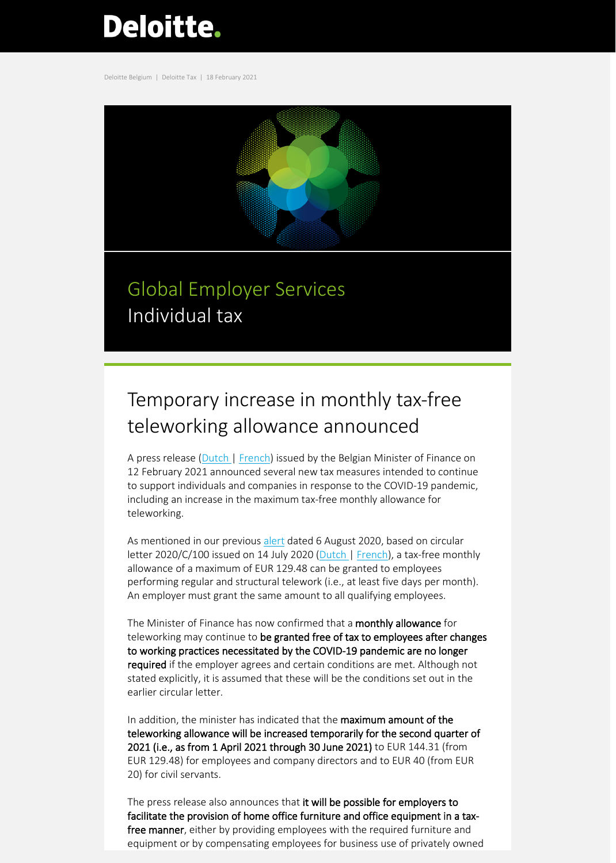# Deloitte.

Deloitte Belgium | Deloitte Tax | 18 February 2021



# Global Employer Services Individual tax

## Temporary increase in monthly tax-free teleworking allowance announced

A press release [\(Dutch |](https://vanpeteghem.belgium.be/nl/minister-van-peteghem-neemt-fiscale-steunmaatregelen-voor-gezinnen-en-ondernemers) [French\)](https://vanpeteghem.belgium.be/fr/le-ministre-van-peteghem-prend-des-mesures-fiscales-de-soutien-aux-familles-et-aux-entrepreneurs) issued by the Belgian Minister of Finance on 12 February 2021 announced several new tax measures intended to continue to support individuals and companies in response to the COVID-19 pandemic, including an increase in the maximum tax-free monthly allowance for teleworking.

As mentioned in our previous [alert](https://www2.deloitte.com/content/dam/Deloitte/be/Documents/tax/TaxAlerts/IndividualTaxAlerts/Individual%20tax%20alert%20-%20Tax%20exempt%20lump-sum%20allowance%20for%20home%20office%20costs%20possible%20without%20a%20ruling%20-%206%20Aug%202020.pdf) dated 6 August 2020, based on circular letter 2020/C/100 issued on 14 July 2020 [\(Dutch |](https://www2.deloitte.com/content/dam/Deloitte/be/Documents/tax/Circular-2020-C-100_NL.pdf) [French\)](https://www2.deloitte.com/content/dam/Deloitte/be/Documents/tax/Circular-2020-C-100_FR.pdf), a tax-free monthly allowance of a maximum of EUR 129.48 can be granted to employees performing regular and structural telework (i.e., at least five days per month). An employer must grant the same amount to all qualifying employees.

The Minister of Finance has now confirmed that a monthly allowance for teleworking may continue to be granted free of tax to employees after changes to working practices necessitated by the COVID-19 pandemic are no longer required if the employer agrees and certain conditions are met. Although not stated explicitly, it is assumed that these will be the conditions set out in the earlier circular letter.

In addition, the minister has indicated that the maximum amount of the teleworking allowance will be increased temporarily for the second quarter of 2021 (i.e., as from 1 April 2021 through 30 June 2021) to EUR 144.31 (from EUR 129.48) for employees and company directors and to EUR 40 (from EUR 20) for civil servants.

The press release also announces that it will be possible for employers to facilitate the provision of home office furniture and office equipment in a taxfree manner, either by providing employees with the required furniture and equipment or by compensating employees for business use of privately owned